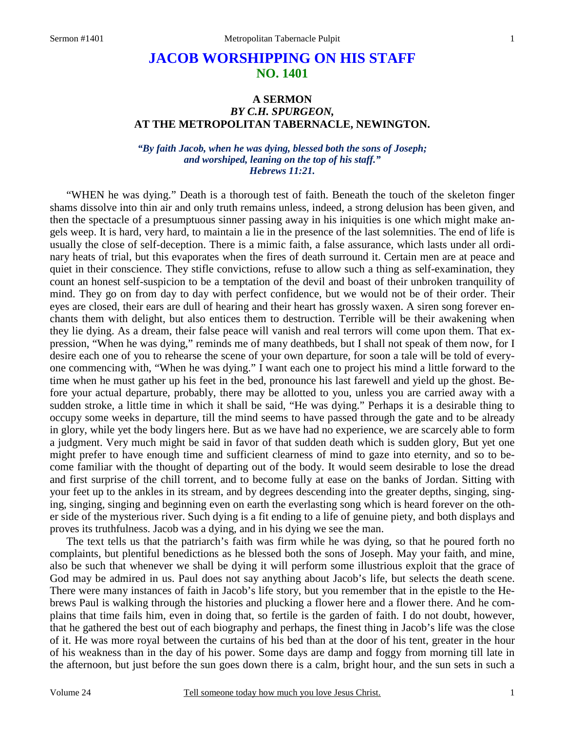# **JACOB WORSHIPPING ON HIS STAFF NO. 1401**

### **A SERMON**  *BY C.H. SPURGEON,*  **AT THE METROPOLITAN TABERNACLE, NEWINGTON.**

*"By faith Jacob, when he was dying, blessed both the sons of Joseph; and worshiped, leaning on the top of his staff." Hebrews 11:21.* 

"WHEN he was dying." Death is a thorough test of faith. Beneath the touch of the skeleton finger shams dissolve into thin air and only truth remains unless, indeed, a strong delusion has been given, and then the spectacle of a presumptuous sinner passing away in his iniquities is one which might make angels weep. It is hard, very hard, to maintain a lie in the presence of the last solemnities. The end of life is usually the close of self-deception. There is a mimic faith, a false assurance, which lasts under all ordinary heats of trial, but this evaporates when the fires of death surround it. Certain men are at peace and quiet in their conscience. They stifle convictions, refuse to allow such a thing as self-examination, they count an honest self-suspicion to be a temptation of the devil and boast of their unbroken tranquility of mind. They go on from day to day with perfect confidence, but we would not be of their order. Their eyes are closed, their ears are dull of hearing and their heart has grossly waxen. A siren song forever enchants them with delight, but also entices them to destruction. Terrible will be their awakening when they lie dying. As a dream, their false peace will vanish and real terrors will come upon them. That expression, "When he was dying," reminds me of many deathbeds, but I shall not speak of them now, for I desire each one of you to rehearse the scene of your own departure, for soon a tale will be told of everyone commencing with, "When he was dying." I want each one to project his mind a little forward to the time when he must gather up his feet in the bed, pronounce his last farewell and yield up the ghost. Before your actual departure, probably, there may be allotted to you, unless you are carried away with a sudden stroke, a little time in which it shall be said, "He was dying." Perhaps it is a desirable thing to occupy some weeks in departure, till the mind seems to have passed through the gate and to be already in glory, while yet the body lingers here. But as we have had no experience, we are scarcely able to form a judgment. Very much might be said in favor of that sudden death which is sudden glory, But yet one might prefer to have enough time and sufficient clearness of mind to gaze into eternity, and so to become familiar with the thought of departing out of the body. It would seem desirable to lose the dread and first surprise of the chill torrent, and to become fully at ease on the banks of Jordan. Sitting with your feet up to the ankles in its stream, and by degrees descending into the greater depths, singing, singing, singing, singing and beginning even on earth the everlasting song which is heard forever on the other side of the mysterious river. Such dying is a fit ending to a life of genuine piety, and both displays and proves its truthfulness. Jacob was a dying, and in his dying we see the man.

The text tells us that the patriarch's faith was firm while he was dying, so that he poured forth no complaints, but plentiful benedictions as he blessed both the sons of Joseph. May your faith, and mine, also be such that whenever we shall be dying it will perform some illustrious exploit that the grace of God may be admired in us. Paul does not say anything about Jacob's life, but selects the death scene. There were many instances of faith in Jacob's life story, but you remember that in the epistle to the Hebrews Paul is walking through the histories and plucking a flower here and a flower there. And he complains that time fails him, even in doing that, so fertile is the garden of faith. I do not doubt, however, that he gathered the best out of each biography and perhaps, the finest thing in Jacob's life was the close of it. He was more royal between the curtains of his bed than at the door of his tent, greater in the hour of his weakness than in the day of his power. Some days are damp and foggy from morning till late in the afternoon, but just before the sun goes down there is a calm, bright hour, and the sun sets in such a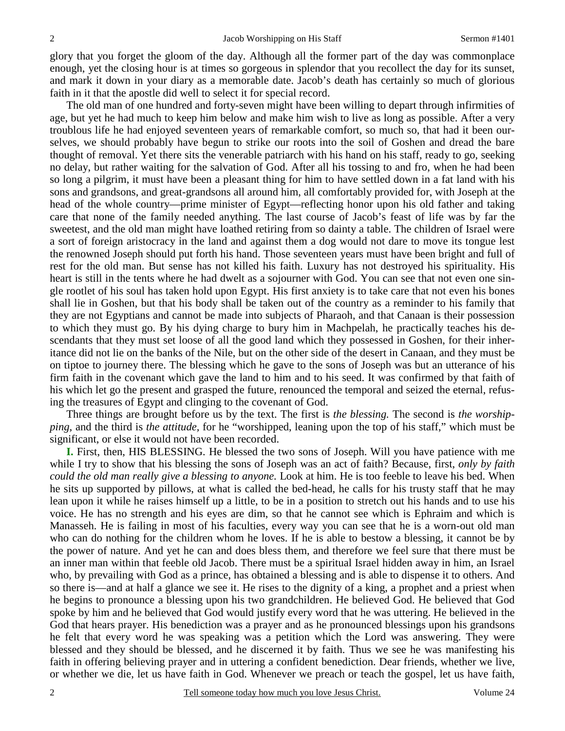glory that you forget the gloom of the day. Although all the former part of the day was commonplace enough, yet the closing hour is at times so gorgeous in splendor that you recollect the day for its sunset, and mark it down in your diary as a memorable date. Jacob's death has certainly so much of glorious faith in it that the apostle did well to select it for special record.

The old man of one hundred and forty-seven might have been willing to depart through infirmities of age, but yet he had much to keep him below and make him wish to live as long as possible. After a very troublous life he had enjoyed seventeen years of remarkable comfort, so much so, that had it been ourselves, we should probably have begun to strike our roots into the soil of Goshen and dread the bare thought of removal. Yet there sits the venerable patriarch with his hand on his staff, ready to go, seeking no delay, but rather waiting for the salvation of God. After all his tossing to and fro, when he had been so long a pilgrim, it must have been a pleasant thing for him to have settled down in a fat land with his sons and grandsons, and great-grandsons all around him, all comfortably provided for, with Joseph at the head of the whole country—prime minister of Egypt—reflecting honor upon his old father and taking care that none of the family needed anything. The last course of Jacob's feast of life was by far the sweetest, and the old man might have loathed retiring from so dainty a table. The children of Israel were a sort of foreign aristocracy in the land and against them a dog would not dare to move its tongue lest the renowned Joseph should put forth his hand. Those seventeen years must have been bright and full of rest for the old man. But sense has not killed his faith. Luxury has not destroyed his spirituality. His heart is still in the tents where he had dwelt as a sojourner with God. You can see that not even one single rootlet of his soul has taken hold upon Egypt. His first anxiety is to take care that not even his bones shall lie in Goshen, but that his body shall be taken out of the country as a reminder to his family that they are not Egyptians and cannot be made into subjects of Pharaoh, and that Canaan is their possession to which they must go. By his dying charge to bury him in Machpelah, he practically teaches his descendants that they must set loose of all the good land which they possessed in Goshen, for their inheritance did not lie on the banks of the Nile, but on the other side of the desert in Canaan, and they must be on tiptoe to journey there. The blessing which he gave to the sons of Joseph was but an utterance of his firm faith in the covenant which gave the land to him and to his seed. It was confirmed by that faith of his which let go the present and grasped the future, renounced the temporal and seized the eternal, refusing the treasures of Egypt and clinging to the covenant of God.

Three things are brought before us by the text. The first is *the blessing.* The second is *the worshipping,* and the third is *the attitude,* for he "worshipped, leaning upon the top of his staff," which must be significant, or else it would not have been recorded.

**I.** First, then, HIS BLESSING. He blessed the two sons of Joseph. Will you have patience with me while I try to show that his blessing the sons of Joseph was an act of faith? Because, first, *only by faith could the old man really give a blessing to anyone.* Look at him. He is too feeble to leave his bed. When he sits up supported by pillows, at what is called the bed-head, he calls for his trusty staff that he may lean upon it while he raises himself up a little, to be in a position to stretch out his hands and to use his voice. He has no strength and his eyes are dim, so that he cannot see which is Ephraim and which is Manasseh. He is failing in most of his faculties, every way you can see that he is a worn-out old man who can do nothing for the children whom he loves. If he is able to bestow a blessing, it cannot be by the power of nature. And yet he can and does bless them, and therefore we feel sure that there must be an inner man within that feeble old Jacob. There must be a spiritual Israel hidden away in him, an Israel who, by prevailing with God as a prince, has obtained a blessing and is able to dispense it to others. And so there is—and at half a glance we see it. He rises to the dignity of a king, a prophet and a priest when he begins to pronounce a blessing upon his two grandchildren. He believed God. He believed that God spoke by him and he believed that God would justify every word that he was uttering. He believed in the God that hears prayer. His benediction was a prayer and as he pronounced blessings upon his grandsons he felt that every word he was speaking was a petition which the Lord was answering. They were blessed and they should be blessed, and he discerned it by faith. Thus we see he was manifesting his faith in offering believing prayer and in uttering a confident benediction. Dear friends, whether we live, or whether we die, let us have faith in God. Whenever we preach or teach the gospel, let us have faith,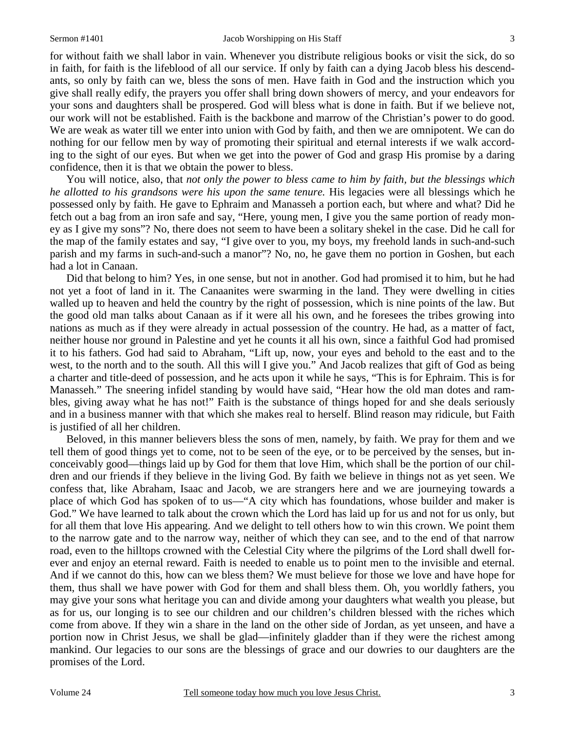for without faith we shall labor in vain. Whenever you distribute religious books or visit the sick, do so in faith, for faith is the lifeblood of all our service. If only by faith can a dying Jacob bless his descendants, so only by faith can we, bless the sons of men. Have faith in God and the instruction which you give shall really edify, the prayers you offer shall bring down showers of mercy, and your endeavors for your sons and daughters shall be prospered. God will bless what is done in faith. But if we believe not, our work will not be established. Faith is the backbone and marrow of the Christian's power to do good. We are weak as water till we enter into union with God by faith, and then we are omnipotent. We can do nothing for our fellow men by way of promoting their spiritual and eternal interests if we walk according to the sight of our eyes. But when we get into the power of God and grasp His promise by a daring confidence, then it is that we obtain the power to bless.

You will notice, also, that *not only the power to bless came to him by faith, but the blessings which he allotted to his grandsons were his upon the same tenure.* His legacies were all blessings which he possessed only by faith. He gave to Ephraim and Manasseh a portion each, but where and what? Did he fetch out a bag from an iron safe and say, "Here, young men, I give you the same portion of ready money as I give my sons"? No, there does not seem to have been a solitary shekel in the case. Did he call for the map of the family estates and say, "I give over to you, my boys, my freehold lands in such-and-such parish and my farms in such-and-such a manor"? No, no, he gave them no portion in Goshen, but each had a lot in Canaan.

Did that belong to him? Yes, in one sense, but not in another. God had promised it to him, but he had not yet a foot of land in it. The Canaanites were swarming in the land. They were dwelling in cities walled up to heaven and held the country by the right of possession, which is nine points of the law. But the good old man talks about Canaan as if it were all his own, and he foresees the tribes growing into nations as much as if they were already in actual possession of the country. He had, as a matter of fact, neither house nor ground in Palestine and yet he counts it all his own, since a faithful God had promised it to his fathers. God had said to Abraham, "Lift up, now, your eyes and behold to the east and to the west, to the north and to the south. All this will I give you." And Jacob realizes that gift of God as being a charter and title-deed of possession, and he acts upon it while he says, "This is for Ephraim. This is for Manasseh." The sneering infidel standing by would have said, "Hear how the old man dotes and rambles, giving away what he has not!" Faith is the substance of things hoped for and she deals seriously and in a business manner with that which she makes real to herself. Blind reason may ridicule, but Faith is justified of all her children.

Beloved, in this manner believers bless the sons of men, namely, by faith. We pray for them and we tell them of good things yet to come, not to be seen of the eye, or to be perceived by the senses, but inconceivably good—things laid up by God for them that love Him, which shall be the portion of our children and our friends if they believe in the living God. By faith we believe in things not as yet seen. We confess that, like Abraham, Isaac and Jacob, we are strangers here and we are journeying towards a place of which God has spoken of to us—"A city which has foundations, whose builder and maker is God." We have learned to talk about the crown which the Lord has laid up for us and not for us only, but for all them that love His appearing. And we delight to tell others how to win this crown. We point them to the narrow gate and to the narrow way, neither of which they can see, and to the end of that narrow road, even to the hilltops crowned with the Celestial City where the pilgrims of the Lord shall dwell forever and enjoy an eternal reward. Faith is needed to enable us to point men to the invisible and eternal. And if we cannot do this, how can we bless them? We must believe for those we love and have hope for them, thus shall we have power with God for them and shall bless them. Oh, you worldly fathers, you may give your sons what heritage you can and divide among your daughters what wealth you please, but as for us, our longing is to see our children and our children's children blessed with the riches which come from above. If they win a share in the land on the other side of Jordan, as yet unseen, and have a portion now in Christ Jesus, we shall be glad—infinitely gladder than if they were the richest among mankind. Our legacies to our sons are the blessings of grace and our dowries to our daughters are the promises of the Lord.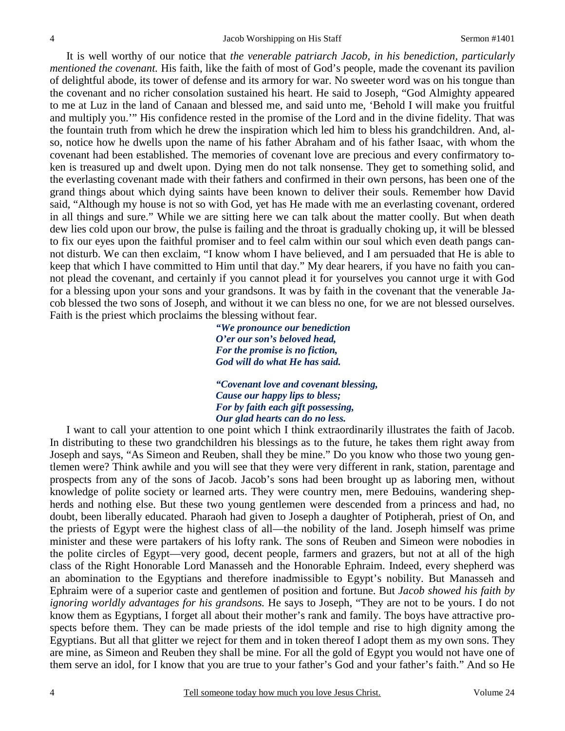It is well worthy of our notice that *the venerable patriarch Jacob, in his benediction, particularly mentioned the covenant.* His faith, like the faith of most of God's people, made the covenant its pavilion of delightful abode, its tower of defense and its armory for war. No sweeter word was on his tongue than the covenant and no richer consolation sustained his heart. He said to Joseph, "God Almighty appeared to me at Luz in the land of Canaan and blessed me, and said unto me, 'Behold I will make you fruitful and multiply you.'" His confidence rested in the promise of the Lord and in the divine fidelity. That was the fountain truth from which he drew the inspiration which led him to bless his grandchildren. And, also, notice how he dwells upon the name of his father Abraham and of his father Isaac, with whom the covenant had been established. The memories of covenant love are precious and every confirmatory token is treasured up and dwelt upon. Dying men do not talk nonsense. They get to something solid, and the everlasting covenant made with their fathers and confirmed in their own persons, has been one of the grand things about which dying saints have been known to deliver their souls. Remember how David said, "Although my house is not so with God, yet has He made with me an everlasting covenant, ordered in all things and sure." While we are sitting here we can talk about the matter coolly. But when death dew lies cold upon our brow, the pulse is failing and the throat is gradually choking up, it will be blessed to fix our eyes upon the faithful promiser and to feel calm within our soul which even death pangs cannot disturb. We can then exclaim, "I know whom I have believed, and I am persuaded that He is able to keep that which I have committed to Him until that day." My dear hearers, if you have no faith you cannot plead the covenant, and certainly if you cannot plead it for yourselves you cannot urge it with God for a blessing upon your sons and your grandsons. It was by faith in the covenant that the venerable Jacob blessed the two sons of Joseph, and without it we can bless no one, for we are not blessed ourselves. Faith is the priest which proclaims the blessing without fear.

> *"We pronounce our benediction O'er our son's beloved head, For the promise is no fiction, God will do what He has said.*

*"Covenant love and covenant blessing, Cause our happy lips to bless; For by faith each gift possessing, Our glad hearts can do no less.* 

I want to call your attention to one point which I think extraordinarily illustrates the faith of Jacob. In distributing to these two grandchildren his blessings as to the future, he takes them right away from Joseph and says, "As Simeon and Reuben, shall they be mine." Do you know who those two young gentlemen were? Think awhile and you will see that they were very different in rank, station, parentage and prospects from any of the sons of Jacob. Jacob's sons had been brought up as laboring men, without knowledge of polite society or learned arts. They were country men, mere Bedouins, wandering shepherds and nothing else. But these two young gentlemen were descended from a princess and had, no doubt, been liberally educated. Pharaoh had given to Joseph a daughter of Potipherah, priest of On, and the priests of Egypt were the highest class of all—the nobility of the land. Joseph himself was prime minister and these were partakers of his lofty rank. The sons of Reuben and Simeon were nobodies in the polite circles of Egypt—very good, decent people, farmers and grazers, but not at all of the high class of the Right Honorable Lord Manasseh and the Honorable Ephraim. Indeed, every shepherd was an abomination to the Egyptians and therefore inadmissible to Egypt's nobility. But Manasseh and Ephraim were of a superior caste and gentlemen of position and fortune. But *Jacob showed his faith by ignoring worldly advantages for his grandsons.* He says to Joseph, "They are not to be yours. I do not know them as Egyptians, I forget all about their mother's rank and family. The boys have attractive prospects before them. They can be made priests of the idol temple and rise to high dignity among the Egyptians. But all that glitter we reject for them and in token thereof I adopt them as my own sons. They are mine, as Simeon and Reuben they shall be mine. For all the gold of Egypt you would not have one of them serve an idol, for I know that you are true to your father's God and your father's faith." And so He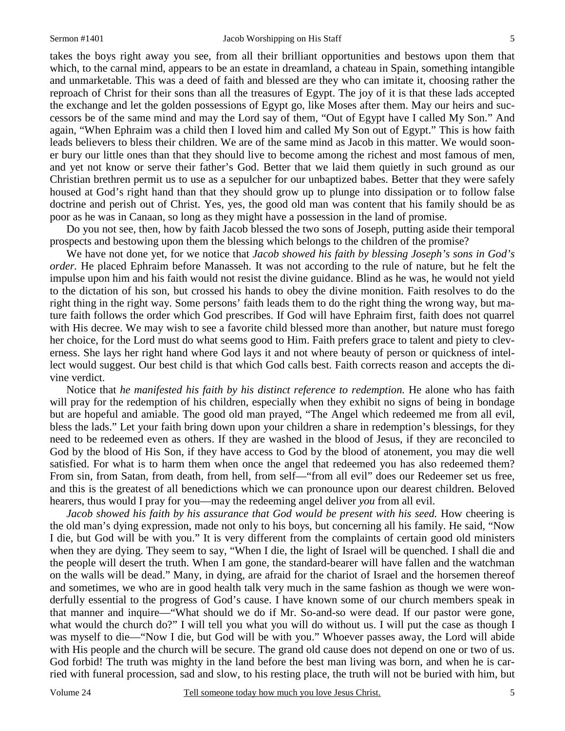takes the boys right away you see, from all their brilliant opportunities and bestows upon them that which, to the carnal mind, appears to be an estate in dreamland, a chateau in Spain, something intangible and unmarketable. This was a deed of faith and blessed are they who can imitate it, choosing rather the reproach of Christ for their sons than all the treasures of Egypt. The joy of it is that these lads accepted the exchange and let the golden possessions of Egypt go, like Moses after them. May our heirs and successors be of the same mind and may the Lord say of them, "Out of Egypt have I called My Son." And again, "When Ephraim was a child then I loved him and called My Son out of Egypt." This is how faith leads believers to bless their children. We are of the same mind as Jacob in this matter. We would sooner bury our little ones than that they should live to become among the richest and most famous of men, and yet not know or serve their father's God. Better that we laid them quietly in such ground as our Christian brethren permit us to use as a sepulcher for our unbaptized babes. Better that they were safely housed at God's right hand than that they should grow up to plunge into dissipation or to follow false doctrine and perish out of Christ. Yes, yes, the good old man was content that his family should be as poor as he was in Canaan, so long as they might have a possession in the land of promise.

Do you not see, then, how by faith Jacob blessed the two sons of Joseph, putting aside their temporal prospects and bestowing upon them the blessing which belongs to the children of the promise?

We have not done yet, for we notice that *Jacob showed his faith by blessing Joseph's sons in God's order.* He placed Ephraim before Manasseh. It was not according to the rule of nature, but he felt the impulse upon him and his faith would not resist the divine guidance. Blind as he was, he would not yield to the dictation of his son, but crossed his hands to obey the divine monition. Faith resolves to do the right thing in the right way. Some persons' faith leads them to do the right thing the wrong way, but mature faith follows the order which God prescribes. If God will have Ephraim first, faith does not quarrel with His decree. We may wish to see a favorite child blessed more than another, but nature must forego her choice, for the Lord must do what seems good to Him. Faith prefers grace to talent and piety to cleverness. She lays her right hand where God lays it and not where beauty of person or quickness of intellect would suggest. Our best child is that which God calls best. Faith corrects reason and accepts the divine verdict.

Notice that *he manifested his faith by his distinct reference to redemption.* He alone who has faith will pray for the redemption of his children, especially when they exhibit no signs of being in bondage but are hopeful and amiable. The good old man prayed, "The Angel which redeemed me from all evil, bless the lads." Let your faith bring down upon your children a share in redemption's blessings, for they need to be redeemed even as others. If they are washed in the blood of Jesus, if they are reconciled to God by the blood of His Son, if they have access to God by the blood of atonement, you may die well satisfied. For what is to harm them when once the angel that redeemed you has also redeemed them? From sin, from Satan, from death, from hell, from self—"from all evil" does our Redeemer set us free, and this is the greatest of all benedictions which we can pronounce upon our dearest children. Beloved hearers, thus would I pray for you—may the redeeming angel deliver *you* from all evil.

*Jacob showed his faith by his assurance that God would be present with his seed.* How cheering is the old man's dying expression, made not only to his boys, but concerning all his family. He said, "Now I die, but God will be with you." It is very different from the complaints of certain good old ministers when they are dying. They seem to say, "When I die, the light of Israel will be quenched. I shall die and the people will desert the truth. When I am gone, the standard-bearer will have fallen and the watchman on the walls will be dead." Many, in dying, are afraid for the chariot of Israel and the horsemen thereof and sometimes, we who are in good health talk very much in the same fashion as though we were wonderfully essential to the progress of God's cause. I have known some of our church members speak in that manner and inquire—"What should we do if Mr. So-and-so were dead. If our pastor were gone, what would the church do?" I will tell you what you will do without us. I will put the case as though I was myself to die—"Now I die, but God will be with you." Whoever passes away, the Lord will abide with His people and the church will be secure. The grand old cause does not depend on one or two of us. God forbid! The truth was mighty in the land before the best man living was born, and when he is carried with funeral procession, sad and slow, to his resting place, the truth will not be buried with him, but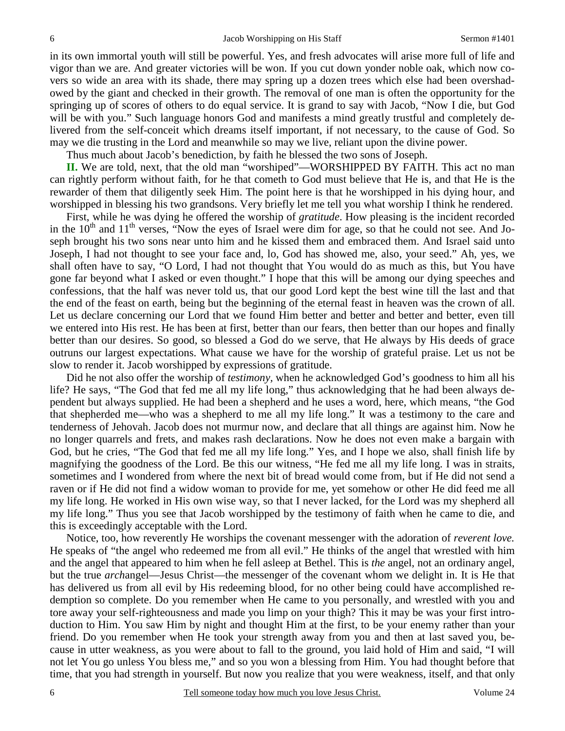in its own immortal youth will still be powerful. Yes, and fresh advocates will arise more full of life and vigor than we are. And greater victories will be won. If you cut down yonder noble oak, which now covers so wide an area with its shade, there may spring up a dozen trees which else had been overshadowed by the giant and checked in their growth. The removal of one man is often the opportunity for the springing up of scores of others to do equal service. It is grand to say with Jacob, "Now I die, but God will be with you." Such language honors God and manifests a mind greatly trustful and completely delivered from the self-conceit which dreams itself important, if not necessary, to the cause of God. So may we die trusting in the Lord and meanwhile so may we live, reliant upon the divine power.

Thus much about Jacob's benediction, by faith he blessed the two sons of Joseph.

**II.** We are told, next, that the old man "worshiped"—WORSHIPPED BY FAITH. This act no man can rightly perform without faith, for he that cometh to God must believe that He is, and that He is the rewarder of them that diligently seek Him. The point here is that he worshipped in his dying hour, and worshipped in blessing his two grandsons. Very briefly let me tell you what worship I think he rendered.

First, while he was dying he offered the worship of *gratitude*. How pleasing is the incident recorded in the  $10<sup>th</sup>$  and  $11<sup>th</sup>$  verses, "Now the eyes of Israel were dim for age, so that he could not see. And Joseph brought his two sons near unto him and he kissed them and embraced them. And Israel said unto Joseph, I had not thought to see your face and, lo, God has showed me, also, your seed." Ah, yes, we shall often have to say, "O Lord, I had not thought that You would do as much as this, but You have gone far beyond what I asked or even thought." I hope that this will be among our dying speeches and confessions, that the half was never told us, that our good Lord kept the best wine till the last and that the end of the feast on earth, being but the beginning of the eternal feast in heaven was the crown of all. Let us declare concerning our Lord that we found Him better and better and better and better, even till we entered into His rest. He has been at first, better than our fears, then better than our hopes and finally better than our desires. So good, so blessed a God do we serve, that He always by His deeds of grace outruns our largest expectations. What cause we have for the worship of grateful praise. Let us not be slow to render it. Jacob worshipped by expressions of gratitude.

Did he not also offer the worship of *testimony,* when he acknowledged God's goodness to him all his life? He says, "The God that fed me all my life long," thus acknowledging that he had been always dependent but always supplied. He had been a shepherd and he uses a word, here, which means, "the God that shepherded me—who was a shepherd to me all my life long." It was a testimony to the care and tenderness of Jehovah. Jacob does not murmur now, and declare that all things are against him. Now he no longer quarrels and frets, and makes rash declarations. Now he does not even make a bargain with God, but he cries, "The God that fed me all my life long." Yes, and I hope we also, shall finish life by magnifying the goodness of the Lord. Be this our witness, "He fed me all my life long. I was in straits, sometimes and I wondered from where the next bit of bread would come from, but if He did not send a raven or if He did not find a widow woman to provide for me, yet somehow or other He did feed me all my life long. He worked in His own wise way, so that I never lacked, for the Lord was my shepherd all my life long." Thus you see that Jacob worshipped by the testimony of faith when he came to die, and this is exceedingly acceptable with the Lord.

Notice, too, how reverently He worships the covenant messenger with the adoration of *reverent love.* He speaks of "the angel who redeemed me from all evil." He thinks of the angel that wrestled with him and the angel that appeared to him when he fell asleep at Bethel. This is *the* angel, not an ordinary angel, but the true *arch*angel—Jesus Christ—the messenger of the covenant whom we delight in. It is He that has delivered us from all evil by His redeeming blood, for no other being could have accomplished redemption so complete. Do you remember when He came to you personally, and wrestled with you and tore away your self-righteousness and made you limp on your thigh? This it may be was your first introduction to Him. You saw Him by night and thought Him at the first, to be your enemy rather than your friend. Do you remember when He took your strength away from you and then at last saved you, because in utter weakness, as you were about to fall to the ground, you laid hold of Him and said, "I will not let You go unless You bless me," and so you won a blessing from Him. You had thought before that time, that you had strength in yourself. But now you realize that you were weakness, itself, and that only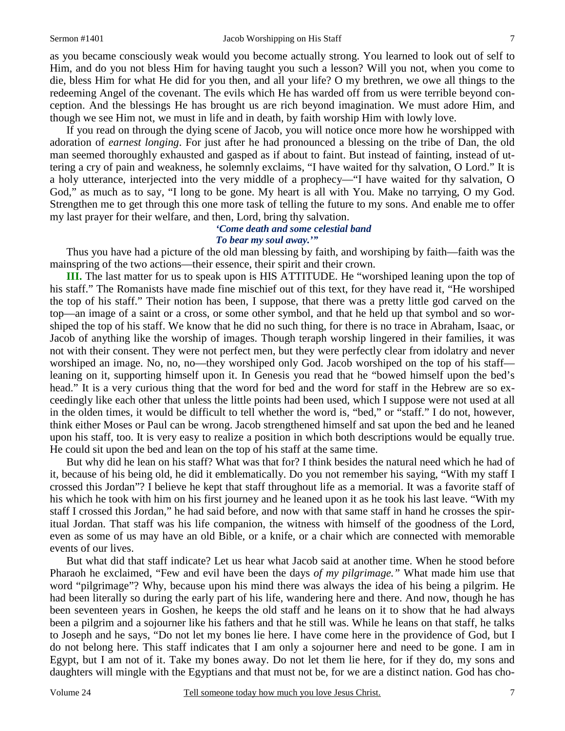as you became consciously weak would you become actually strong. You learned to look out of self to Him, and do you not bless Him for having taught you such a lesson? Will you not, when you come to die, bless Him for what He did for you then, and all your life? O my brethren, we owe all things to the redeeming Angel of the covenant. The evils which He has warded off from us were terrible beyond conception. And the blessings He has brought us are rich beyond imagination. We must adore Him, and though we see Him not, we must in life and in death, by faith worship Him with lowly love.

If you read on through the dying scene of Jacob, you will notice once more how he worshipped with adoration of *earnest longing*. For just after he had pronounced a blessing on the tribe of Dan, the old man seemed thoroughly exhausted and gasped as if about to faint. But instead of fainting, instead of uttering a cry of pain and weakness, he solemnly exclaims, "I have waited for thy salvation, O Lord." It is a holy utterance, interjected into the very middle of a prophecy—"I have waited for thy salvation, O God," as much as to say, "I long to be gone. My heart is all with You. Make no tarrying, O my God. Strengthen me to get through this one more task of telling the future to my sons. And enable me to offer my last prayer for their welfare, and then, Lord, bring thy salvation.

### *'Come death and some celestial band To bear my soul away.'"*

Thus you have had a picture of the old man blessing by faith, and worshiping by faith—faith was the mainspring of the two actions—their essence, their spirit and their crown.

**III.** The last matter for us to speak upon is HIS ATTITUDE. He "worshiped leaning upon the top of his staff." The Romanists have made fine mischief out of this text, for they have read it, "He worshiped the top of his staff." Their notion has been, I suppose, that there was a pretty little god carved on the top—an image of a saint or a cross, or some other symbol, and that he held up that symbol and so worshiped the top of his staff. We know that he did no such thing, for there is no trace in Abraham, Isaac, or Jacob of anything like the worship of images. Though teraph worship lingered in their families, it was not with their consent. They were not perfect men, but they were perfectly clear from idolatry and never worshiped an image. No, no, no—they worshiped only God. Jacob worshiped on the top of his staff leaning on it, supporting himself upon it. In Genesis you read that he "bowed himself upon the bed's head." It is a very curious thing that the word for bed and the word for staff in the Hebrew are so exceedingly like each other that unless the little points had been used, which I suppose were not used at all in the olden times, it would be difficult to tell whether the word is, "bed," or "staff." I do not, however, think either Moses or Paul can be wrong. Jacob strengthened himself and sat upon the bed and he leaned upon his staff, too. It is very easy to realize a position in which both descriptions would be equally true. He could sit upon the bed and lean on the top of his staff at the same time.

But why did he lean on his staff? What was that for? I think besides the natural need which he had of it, because of his being old, he did it emblematically. Do you not remember his saying, "With my staff I crossed this Jordan"? I believe he kept that staff throughout life as a memorial. It was a favorite staff of his which he took with him on his first journey and he leaned upon it as he took his last leave. "With my staff I crossed this Jordan," he had said before, and now with that same staff in hand he crosses the spiritual Jordan. That staff was his life companion, the witness with himself of the goodness of the Lord, even as some of us may have an old Bible, or a knife, or a chair which are connected with memorable events of our lives.

But what did that staff indicate? Let us hear what Jacob said at another time. When he stood before Pharaoh he exclaimed, "Few and evil have been the days *of my pilgrimage."* What made him use that word "pilgrimage"? Why, because upon his mind there was always the idea of his being a pilgrim. He had been literally so during the early part of his life, wandering here and there. And now, though he has been seventeen years in Goshen, he keeps the old staff and he leans on it to show that he had always been a pilgrim and a sojourner like his fathers and that he still was. While he leans on that staff, he talks to Joseph and he says, "Do not let my bones lie here. I have come here in the providence of God, but I do not belong here. This staff indicates that I am only a sojourner here and need to be gone. I am in Egypt, but I am not of it. Take my bones away. Do not let them lie here, for if they do, my sons and daughters will mingle with the Egyptians and that must not be, for we are a distinct nation. God has cho